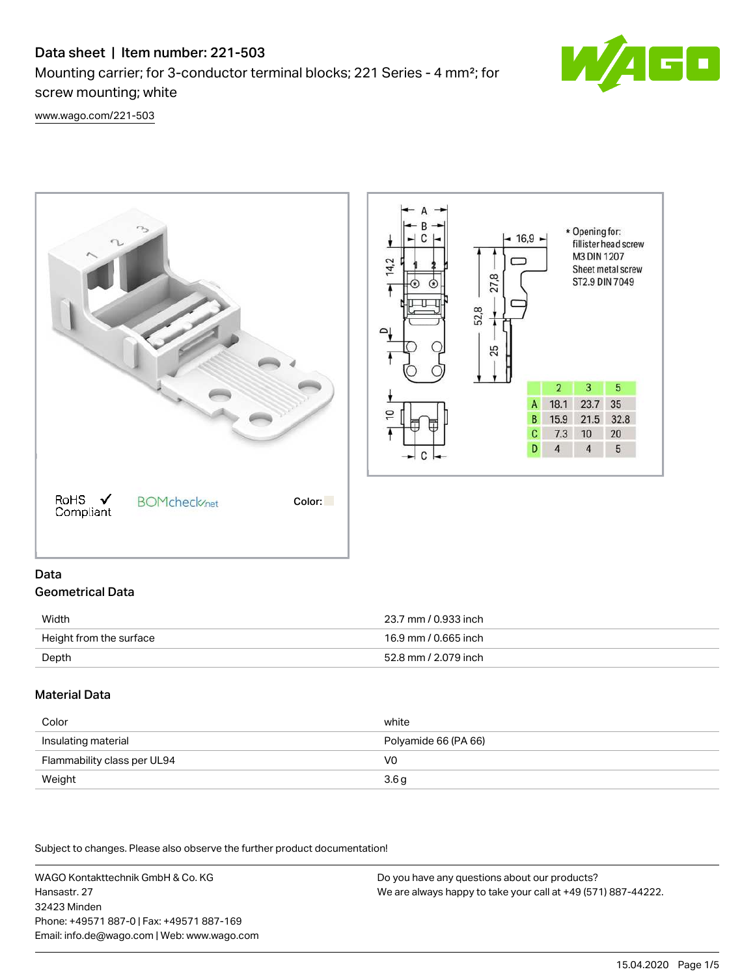# Data sheet | Item number: 221-503

Mounting carrier; for 3-conductor terminal blocks; 221 Series - 4 mm²; for screw mounting; white



[www.wago.com/221-503](http://www.wago.com/221-503)



# Data Geometrical Data

| Width                   | 23.7 mm / 0.933 inch |
|-------------------------|----------------------|
| Height from the surface | 16.9 mm / 0.665 inch |
| Depth                   | 52.8 mm / 2.079 inch |

## Material Data

| Color                       | white                |
|-----------------------------|----------------------|
| Insulating material         | Polyamide 66 (PA 66) |
| Flammability class per UL94 | V0                   |
| Weight                      | 3.6 <sub>g</sub>     |

Subject to changes. Please also observe the further product documentation!

WAGO Kontakttechnik GmbH & Co. KG Hansastr. 27 32423 Minden Phone: +49571 887-0 | Fax: +49571 887-169 Email: info.de@wago.com | Web: www.wago.com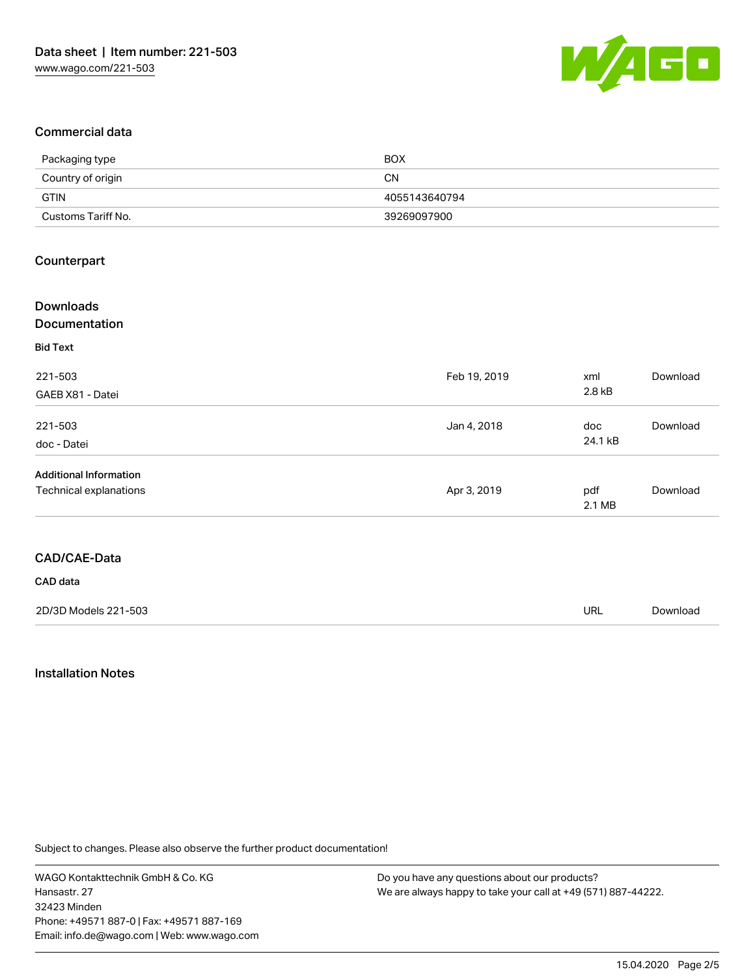

### Commercial data

| Packaging type     | <b>BOX</b>    |
|--------------------|---------------|
| Country of origin  | CΝ            |
| GTIN               | 4055143640794 |
| Customs Tariff No. | 39269097900   |

### Counterpart

| <b>Downloads</b><br>Documentation |              |         |          |
|-----------------------------------|--------------|---------|----------|
| <b>Bid Text</b>                   |              |         |          |
| 221-503                           | Feb 19, 2019 | xml     | Download |
| GAEB X81 - Datei                  |              | 2.8 kB  |          |
| 221-503                           | Jan 4, 2018  | doc     | Download |
| doc - Datei                       |              | 24.1 kB |          |
| <b>Additional Information</b>     |              |         |          |
| Technical explanations            | Apr 3, 2019  | pdf     | Download |
|                                   |              | 2.1 MB  |          |

#### CAD data

| 2D/3D Models 221-503 | url | Download |
|----------------------|-----|----------|
|                      |     |          |

### Installation Notes

Subject to changes. Please also observe the further product documentation!

WAGO Kontakttechnik GmbH & Co. KG Hansastr. 27 32423 Minden Phone: +49571 887-0 | Fax: +49571 887-169 Email: info.de@wago.com | Web: www.wago.com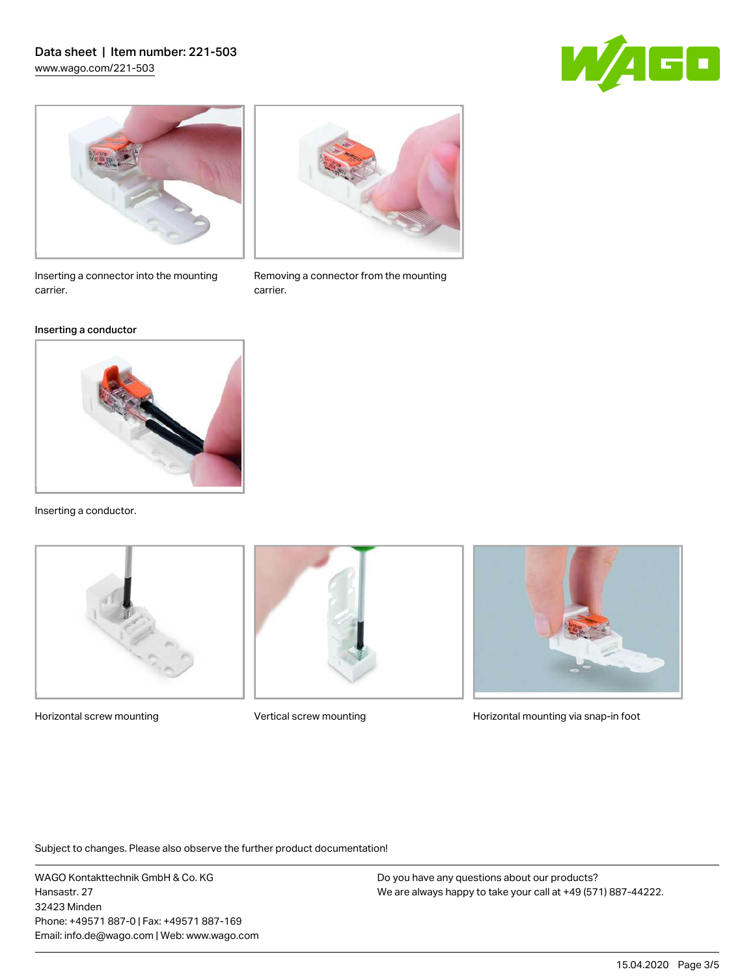# Data sheet | Item number: 221-503 [www.wago.com/221-503](http://www.wago.com/221-503)





Inserting a connector into the mounting carrier.

#### Inserting a conductor



Inserting a conductor.





Removing a connector from the mounting

carrier.



Horizontal screw mounting **Vertical screw mounting Community** Horizontal mounting via snap-in foot

Subject to changes. Please also observe the further product documentation!

WAGO Kontakttechnik GmbH & Co. KG Hansastr. 27 32423 Minden Phone: +49571 887-0 | Fax: +49571 887-169 Email: info.de@wago.com | Web: www.wago.com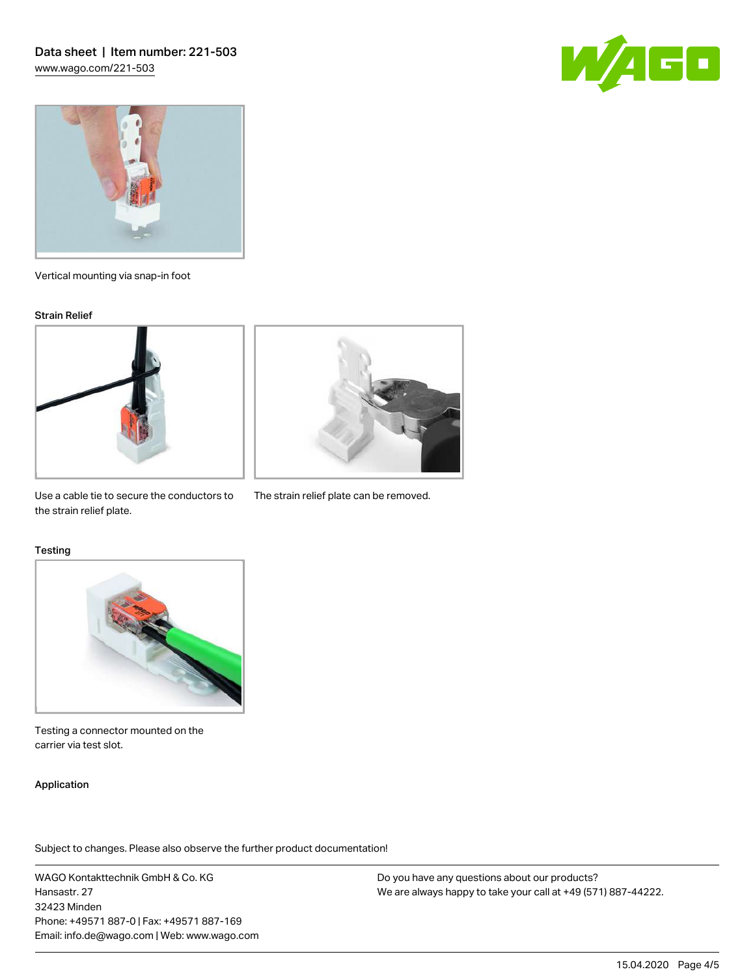



Vertical mounting via snap-in foot

#### Strain Relief





Use a cable tie to secure the conductors to The strain relief plate can be removed. the strain relief plate.

#### **Testing**



Testing a connector mounted on the carrier via test slot.

### Application

Subject to changes. Please also observe the further product documentation!

WAGO Kontakttechnik GmbH & Co. KG Hansastr. 27 32423 Minden Phone: +49571 887-0 | Fax: +49571 887-169 Email: info.de@wago.com | Web: www.wago.com